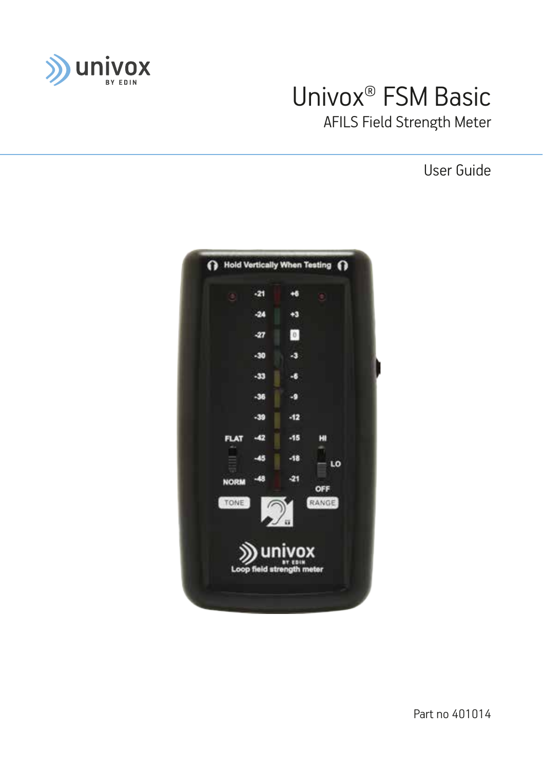

# Univox® FSM Basic AFILS Field Strength Meter

User Guide



Part no 401014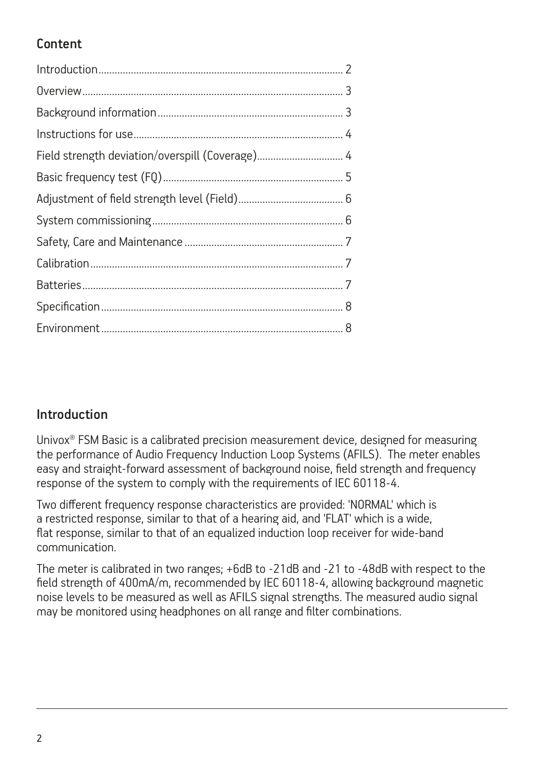# Content

| Field strength deviation/overspill (Coverage) 4 |  |
|-------------------------------------------------|--|
|                                                 |  |
|                                                 |  |
|                                                 |  |
|                                                 |  |
|                                                 |  |
|                                                 |  |
|                                                 |  |
|                                                 |  |

## Introduction

Univox® FSM Basic is a calibrated precision measurement device, designed for measuring the performance of Audio Frequency Induction Loop Systems (AFILS). The meter enables easy and straight-forward assessment of background noise, field strength and frequency response of the system to comply with the requirements of IEC 60118-4.

Two different frequency response characteristics are provided: 'NORMAL' which is a restricted response, similar to that of a hearing aid, and 'FLAT' which is a wide. flat response, similar to that of an equalized induction loop receiver for wide-band communication.

The meter is calibrated in two ranges; +6dB to -21dB and -21 to -48dB with respect to the field strength of 400mA/m, recommended by IEC 60118-4, allowing background magnetic noise levels to be measured as well as AFILS signal strengths. The measured audio signal may be monitored using headphones on all range and filter combinations.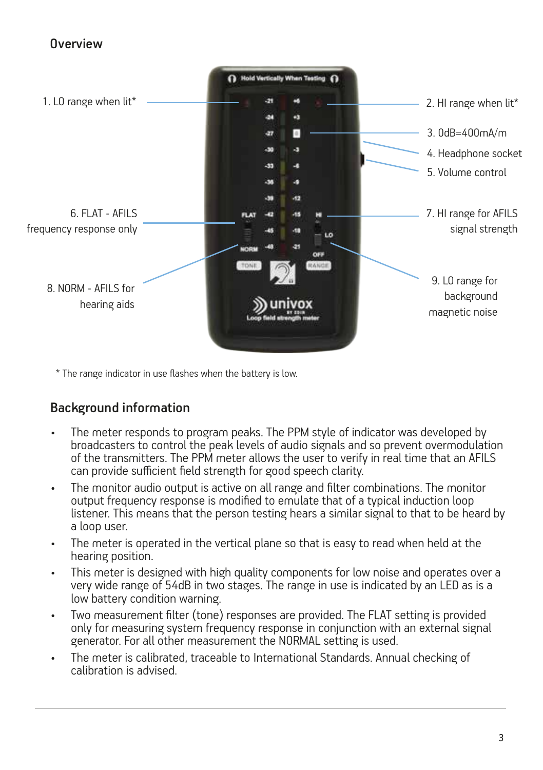#### Overview



\* The range indicator in use flashes when the battery is low.

#### Background information

- The meter responds to program peaks. The PPM style of indicator was developed by broadcasters to control the peak levels of audio signals and so prevent overmodulation of the transmitters. The PPM meter allows the user to verify in real time that an AFILS can provide sufficient field strength for good speech clarity.
- The monitor audio output is active on all range and filter combinations. The monitor output frequency response is modified to emulate that of a typical induction loop listener. This means that the person testing hears a similar signal to that to be heard by a loop user.
- The meter is operated in the vertical plane so that is easy to read when held at the hearing position.
- This meter is designed with high quality components for low noise and operates over a very wide range of 54dB in two stages. The range in use is indicated by an LED as is a low battery condition warning.
- Two measurement filter (tone) responses are provided. The FLAT setting is provided only for measuring system frequency response in conjunction with an external signal generator. For all other measurement the NORMAL setting is used.
- The meter is calibrated, traceable to International Standards. Annual checking of calibration is advised.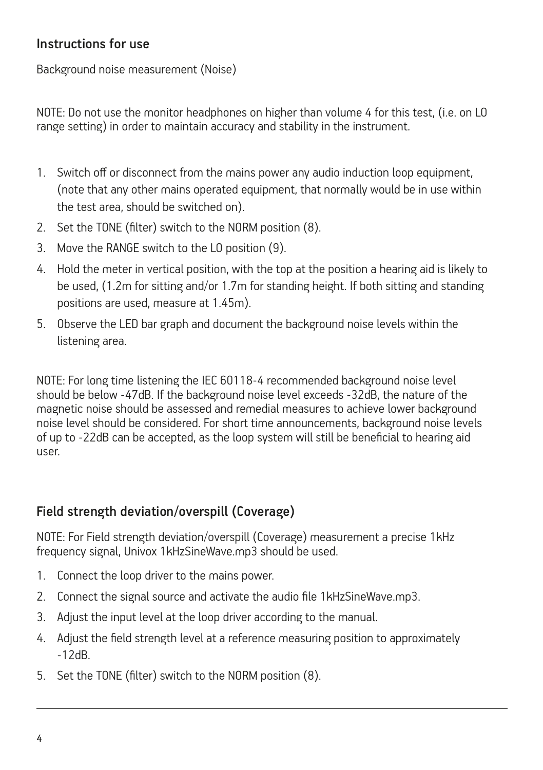#### Instructions for use

Background noise measurement (Noise)

NOTE: Do not use the monitor headphones on higher than volume 4 for this test, (i.e. on LO range setting) in order to maintain accuracy and stability in the instrument.

- 1. Switch off or disconnect from the mains power any audio induction loop equipment, (note that any other mains operated equipment, that normally would be in use within the test area, should be switched on).
- 2. Set the TONE (filter) switch to the NORM position (8).
- 3. Move the RANGE switch to the LO position (9).
- 4. Hold the meter in vertical position, with the top at the position a hearing aid is likely to be used, (1.2m for sitting and/or 1.7m for standing height. If both sitting and standing positions are used, measure at 1.45m).
- 5. Observe the LED bar graph and document the background noise levels within the listening area.

NOTE: For long time listening the IEC 60118-4 recommended background noise level should be below -47dB. If the background noise level exceeds -32dB, the nature of the magnetic noise should be assessed and remedial measures to achieve lower background noise level should be considered. For short time announcements, background noise levels of up to -22dB can be accepted, as the loop system will still be beneficial to hearing aid user.

## Field strength deviation/overspill (Coverage)

NOTE: For Field strength deviation/overspill (Coverage) measurement a precise 1kHz frequency signal, Univox 1kHzSineWave.mp3 should be used.

- 1. Connect the loop driver to the mains power.
- 2. Connect the signal source and activate the audio file 1kHzSineWave.mp3.
- 3. Adjust the input level at the loop driver according to the manual.
- 4. Adjust the field strength level at a reference measuring position to approximately -12dB.
- 5. Set the TONE (filter) switch to the NORM position (8).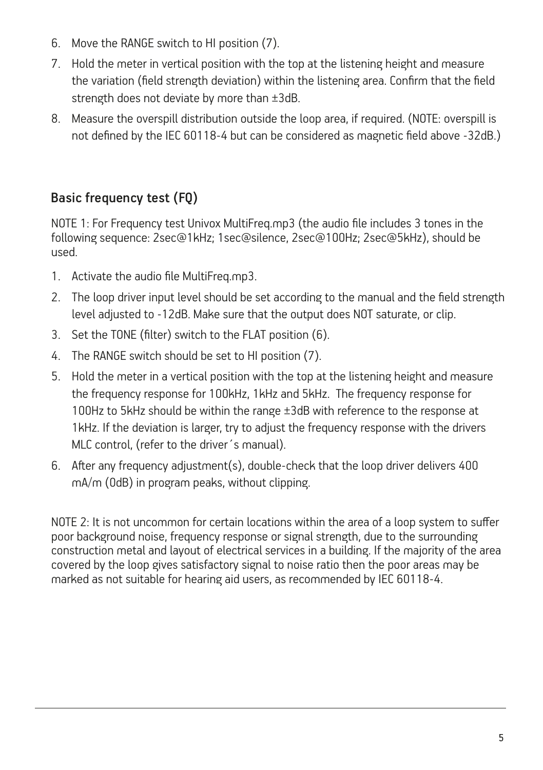- 6. Move the RANGE switch to HI position (7).
- 7. Hold the meter in vertical position with the top at the listening height and measure the variation (field strength deviation) within the listening area. Confirm that the field strength does not deviate by more than ±3dB.
- 8. Measure the overspill distribution outside the loop area, if required. (NOTE: overspill is not defined by the IEC 60118-4 but can be considered as magnetic field above -32dB.)

# Basic frequency test (FQ)

NOTE 1: For Frequency test Univox MultiFreq.mp3 (the audio file includes 3 tones in the following sequence: 2sec@1kHz; 1sec@silence, 2sec@100Hz; 2sec@5kHz), should be used.

- 1. Activate the audio file MultiFreq.mp3.
- 2. The loop driver input level should be set according to the manual and the field strength level adjusted to -12dB. Make sure that the output does NOT saturate, or clip.
- 3. Set the TONE (filter) switch to the FLAT position (6).
- 4. The RANGE switch should be set to HI position (7).
- 5. Hold the meter in a vertical position with the top at the listening height and measure the frequency response for 100kHz, 1kHz and 5kHz. The frequency response for 100Hz to 5kHz should be within the range ±3dB with reference to the response at 1kHz. If the deviation is larger, try to adjust the frequency response with the drivers MLC control, (refer to the driver´s manual).
- 6. After any frequency adjustment(s), double-check that the loop driver delivers 400 mA/m (0dB) in program peaks, without clipping.

NOTE 2: It is not uncommon for certain locations within the area of a loop system to suffer poor background noise, frequency response or signal strength, due to the surrounding construction metal and layout of electrical services in a building. If the majority of the area covered by the loop gives satisfactory signal to noise ratio then the poor areas may be marked as not suitable for hearing aid users, as recommended by IEC 60118-4.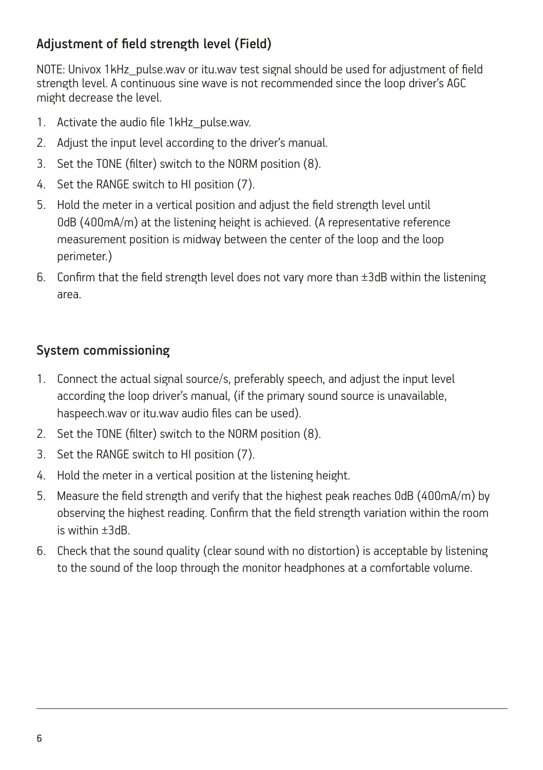## Adjustment of field strength level (Field)

NOTE: Univox 1kHz\_pulse.wav or itu.wav test signal should be used for adjustment of field strength level. A continuous sine wave is not recommended since the loop driver's AGC might decrease the level.

- 1. Activate the audio file 1kHz pulse.wav.
- 2. Adjust the input level according to the driver's manual.
- 3. Set the TONE (filter) switch to the NORM position (8).
- 4. Set the RANGE switch to HI position (7).
- 5. Hold the meter in a vertical position and adjust the field strength level until 0dB (400mA/m) at the listening height is achieved. (A representative reference measurement position is midway between the center of the loop and the loop perimeter.)
- 6. Confirm that the field strength level does not vary more than ±3dB within the listening area.

#### System commissioning

- 1. Connect the actual signal source/s, preferably speech, and adjust the input level according the loop driver's manual, (if the primary sound source is unavailable, haspeech.wav or itu.wav audio files can be used).
- 2. Set the TONE (filter) switch to the NORM position (8).
- 3. Set the RANGE switch to HI position (7).
- 4. Hold the meter in a vertical position at the listening height.
- 5. Measure the field strength and verify that the highest peak reaches 0dB (400mA/m) by observing the highest reading. Confirm that the field strength variation within the room is within ±3dB.
- 6. Check that the sound quality (clear sound with no distortion) is acceptable by listening to the sound of the loop through the monitor headphones at a comfortable volume.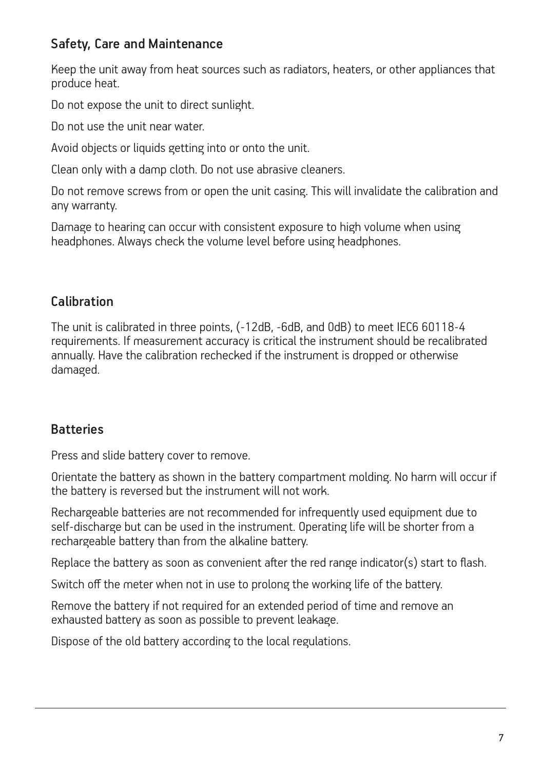#### Safety, Care and Maintenance

Keep the unit away from heat sources such as radiators, heaters, or other appliances that produce heat.

Do not expose the unit to direct sunlight.

Do not use the unit near water.

Avoid objects or liquids getting into or onto the unit.

Clean only with a damp cloth. Do not use abrasive cleaners.

Do not remove screws from or open the unit casing. This will invalidate the calibration and any warranty.

Damage to hearing can occur with consistent exposure to high volume when using headphones. Always check the volume level before using headphones.

#### Calibration

The unit is calibrated in three points, (-12dB, -6dB, and 0dB) to meet IEC6 60118-4 requirements. If measurement accuracy is critical the instrument should be recalibrated annually. Have the calibration rechecked if the instrument is dropped or otherwise damaged.

## **Batteries**

Press and slide battery cover to remove.

Orientate the battery as shown in the battery compartment molding. No harm will occur if the battery is reversed but the instrument will not work.

Rechargeable batteries are not recommended for infrequently used equipment due to self-discharge but can be used in the instrument. Operating life will be shorter from a rechargeable battery than from the alkaline battery.

Replace the battery as soon as convenient after the red range indicator(s) start to flash.

Switch off the meter when not in use to prolong the working life of the battery.

Remove the battery if not required for an extended period of time and remove an exhausted battery as soon as possible to prevent leakage.

Dispose of the old battery according to the local regulations.